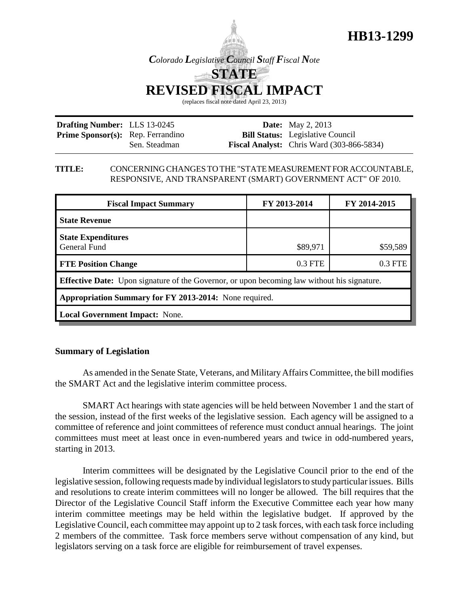

*Colorado Legislative Council Staff Fiscal Note* **STATE**

**REVISED FISCAL IMPACT**

(replaces fiscal note dated April 23, 2013)

| <b>Drafting Number:</b> LLS 13-0245      |               | <b>Date:</b> May 2, 2013                           |
|------------------------------------------|---------------|----------------------------------------------------|
| <b>Prime Sponsor(s):</b> Rep. Ferrandino |               | <b>Bill Status:</b> Legislative Council            |
|                                          | Sen. Steadman | <b>Fiscal Analyst:</b> Chris Ward $(303-866-5834)$ |

### **TITLE:** CONCERNING CHANGES TO THE "STATE MEASUREMENT FOR ACCOUNTABLE, RESPONSIVE, AND TRANSPARENT (SMART) GOVERNMENT ACT" OF 2010.

| <b>Fiscal Impact Summary</b>                                                                       | FY 2013-2014 | FY 2014-2015 |  |  |  |
|----------------------------------------------------------------------------------------------------|--------------|--------------|--|--|--|
| <b>State Revenue</b>                                                                               |              |              |  |  |  |
| <b>State Expenditures</b><br><b>General Fund</b>                                                   | \$89,971     | \$59,589     |  |  |  |
| <b>FTE Position Change</b>                                                                         | 0.3 FTE      | 0.3 FTE      |  |  |  |
| <b>Effective Date:</b> Upon signature of the Governor, or upon becoming law without his signature. |              |              |  |  |  |
| Appropriation Summary for FY 2013-2014: None required.                                             |              |              |  |  |  |
| <b>Local Government Impact: None.</b>                                                              |              |              |  |  |  |

# **Summary of Legislation**

As amended in the Senate State, Veterans, and Military Affairs Committee, the bill modifies the SMART Act and the legislative interim committee process.

SMART Act hearings with state agencies will be held between November 1 and the start of the session, instead of the first weeks of the legislative session. Each agency will be assigned to a committee of reference and joint committees of reference must conduct annual hearings. The joint committees must meet at least once in even-numbered years and twice in odd-numbered years, starting in 2013.

Interim committees will be designated by the Legislative Council prior to the end of the legislative session, following requests made by individual legislators to study particular issues. Bills and resolutions to create interim committees will no longer be allowed. The bill requires that the Director of the Legislative Council Staff inform the Executive Committee each year how many interim committee meetings may be held within the legislative budget. If approved by the Legislative Council, each committee may appoint up to 2 task forces, with each task force including 2 members of the committee. Task force members serve without compensation of any kind, but legislators serving on a task force are eligible for reimbursement of travel expenses.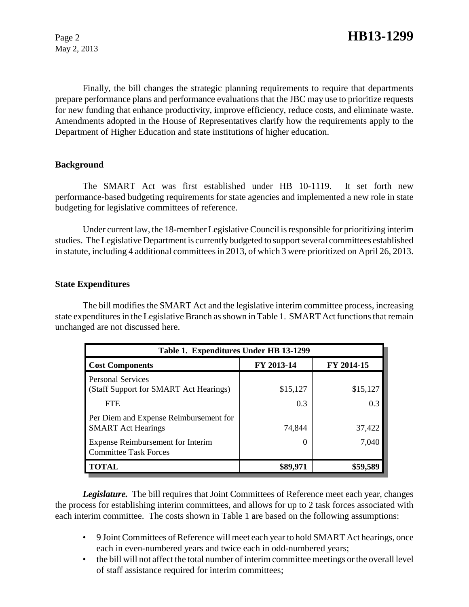May 2, 2013

Finally, the bill changes the strategic planning requirements to require that departments prepare performance plans and performance evaluations that the JBC may use to prioritize requests for new funding that enhance productivity, improve efficiency, reduce costs, and eliminate waste. Amendments adopted in the House of Representatives clarify how the requirements apply to the Department of Higher Education and state institutions of higher education.

# **Background**

The SMART Act was first established under HB 10-1119. It set forth new performance-based budgeting requirements for state agencies and implemented a new role in state budgeting for legislative committees of reference.

Under current law, the 18-member Legislative Council is responsible for prioritizing interim studies. The Legislative Department is currently budgeted to support several committees established in statute, including 4 additional committees in 2013, of which 3 were prioritized on April 26, 2013.

## **State Expenditures**

The bill modifies the SMART Act and the legislative interim committee process, increasing state expenditures in the Legislative Branch as shown in Table 1. SMART Act functions that remain unchanged are not discussed here.

| Table 1. Expenditures Under HB 13-1299                              |                  |            |  |  |
|---------------------------------------------------------------------|------------------|------------|--|--|
| <b>Cost Components</b>                                              | FY 2013-14       | FY 2014-15 |  |  |
| <b>Personal Services</b><br>(Staff Support for SMART Act Hearings)  | \$15,127         | \$15,127   |  |  |
| <b>FTE</b>                                                          | 0.3              | 0.3        |  |  |
| Per Diem and Expense Reimbursement for<br><b>SMART</b> Act Hearings | 74,844           | 37,422     |  |  |
| Expense Reimbursement for Interim<br><b>Committee Task Forces</b>   | $\left( \right)$ | 7,040      |  |  |
| <b>TOTAL</b>                                                        | \$89,971         | \$59,589   |  |  |

*Legislature.* The bill requires that Joint Committees of Reference meet each year, changes the process for establishing interim committees, and allows for up to 2 task forces associated with each interim committee. The costs shown in Table 1 are based on the following assumptions:

- 9 Joint Committees of Reference will meet each year to hold SMART Act hearings, once each in even-numbered years and twice each in odd-numbered years;
- the bill will not affect the total number of interim committee meetings or the overall level of staff assistance required for interim committees;